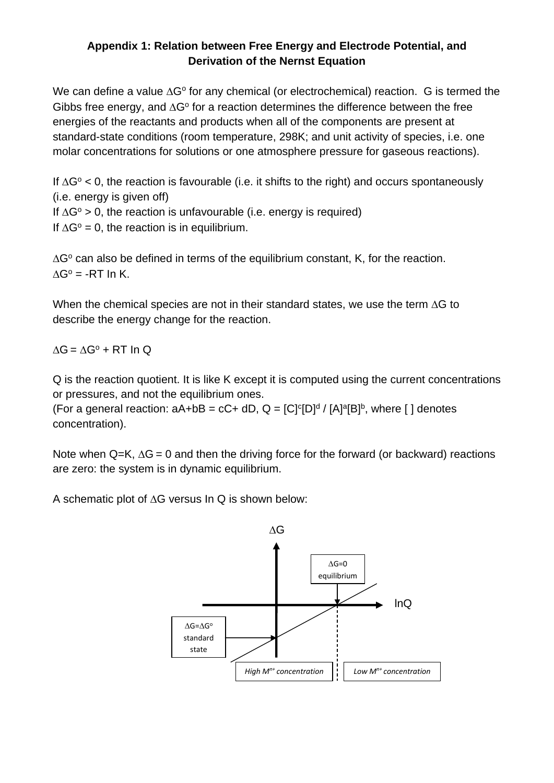## **Appendix 1: Relation between Free Energy and Electrode Potential, and Derivation of the Nernst Equation**

We can define a value  $\Delta G^{\circ}$  for any chemical (or electrochemical) reaction. G is termed the Gibbs free energy, and  $\Delta G^{\circ}$  for a reaction determines the difference between the free energies of the reactants and products when all of the components are present at standard-state conditions (room temperature, 298K; and unit activity of species, i.e. one molar concentrations for solutions or one atmosphere pressure for gaseous reactions).

If  $\Delta G^{\circ}$  < 0, the reaction is favourable (i.e. it shifts to the right) and occurs spontaneously (i.e. energy is given off)

If  $\Delta G^{\circ} > 0$ , the reaction is unfavourable (i.e. energy is required)

If  $\Delta G^{\circ} = 0$ , the reaction is in equilibrium.

 $\Delta G^{\circ}$  can also be defined in terms of the equilibrium constant, K, for the reaction.  $AG^{\circ} = -RT \ln K$ .

When the chemical species are not in their standard states, we use the term  $\Delta G$  to describe the energy change for the reaction.

 $AG = AG^{\circ} + RT \ln Q$ 

Q is the reaction quotient. It is like K except it is computed using the current concentrations or pressures, and not the equilibrium ones.

(For a general reaction:  $aA + bB = cC + dD$ ,  $Q = [C]^c[D]^d / [A]^a[B]^b$ , where [] denotes concentration).

Note when Q=K,  $\Delta G = 0$  and then the driving force for the forward (or backward) reactions are zero: the system is in dynamic equilibrium.

A schematic plot of  $\Delta G$  versus In Q is shown below: